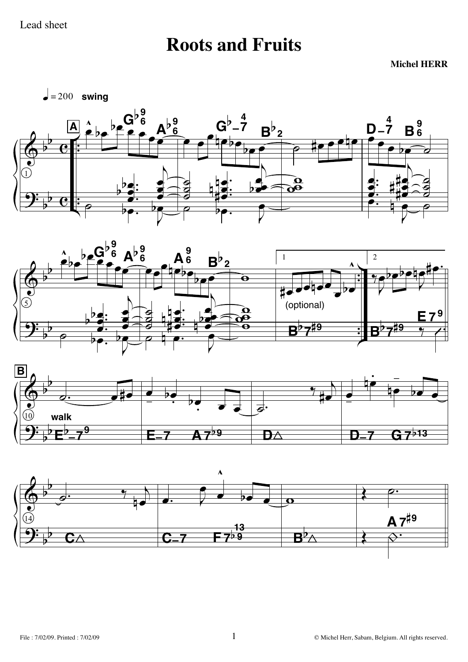## **Roots and Fruits**

**Michel HERR**

 $\leftarrow$  = 200 **swing** 







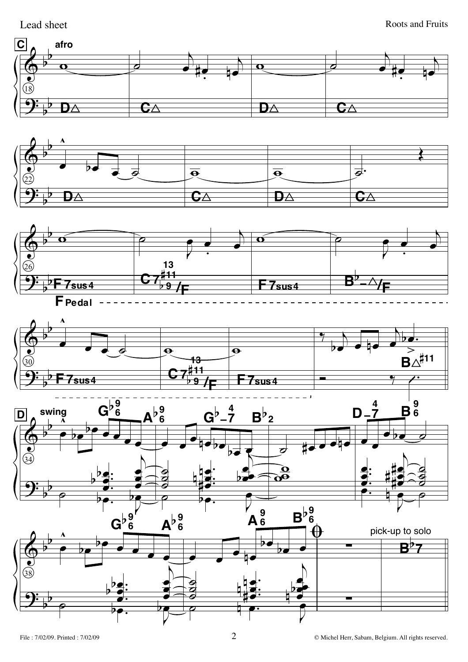Lead sheet